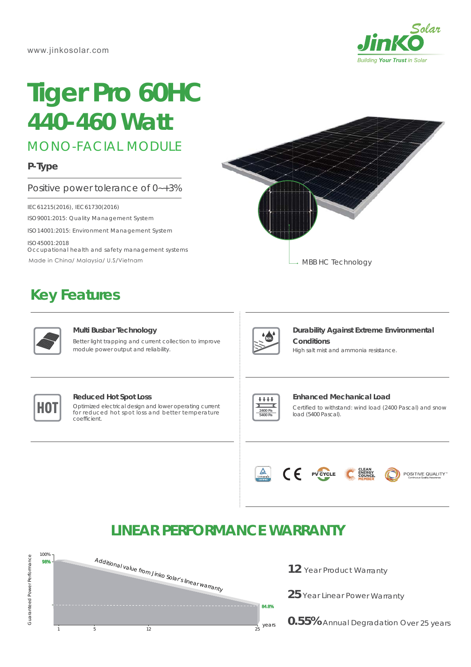

# **Tiger Pro 60HC** *440-460 Watt*

MONO-FACIAL MODULE

## **P-Type**

### Positive power tolerance of 0~+3%

IEC61215(2016), IEC61730(2016)

ISO9001:2015: Quality Management System

ISO14001:2015: Environment Management System

ISO45001:2018 Occupational health and safety management systems Made in China/ Malaysia/ U.S/Vietnam

# **Key Features**



#### **Multi Busbar Technology**

Better light trapping and current collection to improve module power output and reliability.





## **Durability Against Extreme Environmental Conditions**

High salt mist and ammonia resistance.



#### **Reduced Hot Spot Loss**

**HOT** Optimized electrical design and lower operating current for reduced hot spot loss and better temperature for reduced hot spot loss and better temperature coefficient.



#### **Enhanced Mechanical Load**

Certified to withstand: wind load (2400 Pascal) and snow load (5400 Pascal).



# **LINEAR PERFORMANCE WARRANTY**



12 Year Product Warranty

25 Year Linear Power Warranty

**0.55%** Annual Degradation Over 25 years